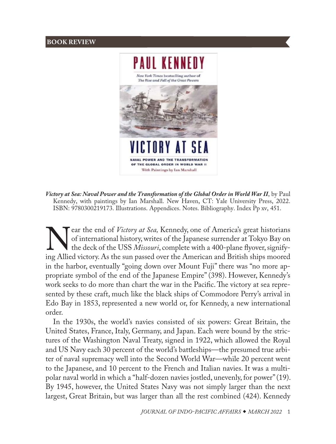## **BOOK REVIEW**



*Victory at Sea: Naval Power and the Transformation of the Global Order in World War II*, by Paul Kennedy, with paintings by Ian Marshall. New Haven, CT: Yale University Press, 2022. ISBN: 9780300219173. Illustrations. Appendices. Notes. Bibliography. Index Pp xv, 451.

**Near the end of Victory at Sea, Kennedy, one of America's great historians** of international history, writes of the Japanese surrender at Tokyo Bay on the deck of the USS *Missouri*, complete with a 400-plane flyover, sig of international history, writes of the Japanese surrender at Tokyo Bay on the deck of the USS *Missouri*, complete with a 400-plane flyover, signifyin the harbor, eventually "going down over Mount Fuji" there was "no more appropriate symbol of the end of the Japanese Empire" (398). However, Kennedy's work seeks to do more than chart the war in the Pacific. The victory at sea represented by these craft, much like the black ships of Commodore Perry's arrival in Edo Bay in 1853, represented a new world or, for Kennedy, a new international order.

In the 1930s, the world's navies consisted of six powers: Great Britain, the United States, France, Italy, Germany, and Japan. Each were bound by the strictures of the Washington Naval Treaty, signed in 1922, which allowed the Royal and US Navy each 30 percent of the world's battleships—the presumed true arbiter of naval supremacy well into the Second World War—while 20 percent went to the Japanese, and 10 percent to the French and Italian navies. It was a multipolar naval world in which a "half-dozen navies jostled, unevenly, for power" (19). By 1945, however, the United States Navy was not simply larger than the next largest, Great Britain, but was larger than all the rest combined (424). Kennedy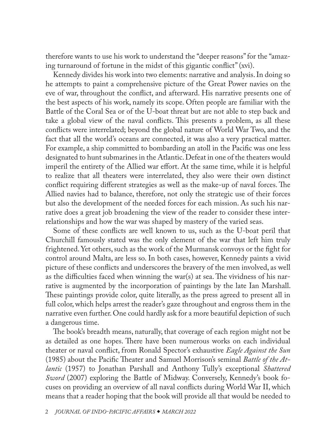therefore wants to use his work to understand the "deeper reasons" for the "amazing turnaround of fortune in the midst of this gigantic conflict" (xvi).

Kennedy divides his work into two elements: narrative and analysis. In doing so he attempts to paint a comprehensive picture of the Great Power navies on the eve of war, throughout the conflict, and afterward. His narrative presents one of the best aspects of his work, namely its scope. Often people are familiar with the Battle of the Coral Sea or of the U-boat threat but are not able to step back and take a global view of the naval conflicts. This presents a problem, as all these conflicts were interrelated; beyond the global nature of World War Two, and the fact that all the world's oceans are connected, it was also a very practical matter. For example, a ship committed to bombarding an atoll in the Pacific was one less designated to hunt submarines in the Atlantic. Defeat in one of the theaters would imperil the entirety of the Allied war effort. At the same time, while it is helpful to realize that all theaters were interrelated, they also were their own distinct conflict requiring different strategies as well as the make-up of naval forces. The Allied navies had to balance, therefore, not only the strategic use of their forces but also the development of the needed forces for each mission. As such his narrative does a great job broadening the view of the reader to consider these interrelationships and how the war was shaped by mastery of the varied seas.

Some of these conflicts are well known to us, such as the U-boat peril that Churchill famously stated was the only element of the war that left him truly frightened. Yet others, such as the work of the Murmansk convoys or the fight for control around Malta, are less so. In both cases, however, Kennedy paints a vivid picture of these conflicts and underscores the bravery of the men involved, as well as the difficulties faced when winning the war(s) at sea. The vividness of his narrative is augmented by the incorporation of paintings by the late Ian Marshall. These paintings provide color, quite literally, as the press agreed to present all in full color, which helps arrest the reader's gaze throughout and engross them in the narrative even further. One could hardly ask for a more beautiful depiction of such a dangerous time.

The book's breadth means, naturally, that coverage of each region might not be as detailed as one hopes. There have been numerous works on each individual theater or naval conflict, from Ronald Spector's exhaustive *Eagle Against the Sun*  (1985) about the Pacific Theater and Samuel Morrison's seminal *Battle of the Atlantic* (1957) to Jonathan Parshall and Anthony Tully's exceptional *Shattered Sword* (2007) exploring the Battle of Midway. Conversely, Kennedy's book focuses on providing an overview of all naval conflicts during World War II, which means that a reader hoping that the book will provide all that would be needed to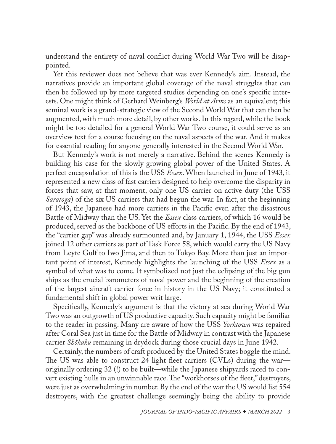understand the entirety of naval conflict during World War Two will be disappointed.

Yet this reviewer does not believe that was ever Kennedy's aim. Instead, the narratives provide an important global coverage of the naval struggles that can then be followed up by more targeted studies depending on one's specific interests. One might think of Gerhard Weinberg's *World at Arms* as an equivalent; this seminal work is a grand-strategic view of the Second World War that can then be augmented, with much more detail, by other works. In this regard, while the book might be too detailed for a general World War Two course, it could serve as an overview text for a course focusing on the naval aspects of the war. And it makes for essential reading for anyone generally interested in the Second World War.

But Kennedy's work is not merely a narrative. Behind the scenes Kennedy is building his case for the slowly growing global power of the United States. A perfect encapsulation of this is the USS *Essex*. When launched in June of 1943, it represented a new class of fast carriers designed to help overcome the disparity in forces that saw, at that moment, only one US carrier on active duty (the USS *Saratoga*) of the six US carriers that had begun the war. In fact, at the beginning of 1943, the Japanese had more carriers in the Pacific even after the disastrous Battle of Midway than the US. Yet the *Essex* class carriers, of which 16 would be produced, served as the backbone of US efforts in the Pacific. By the end of 1943, the "carrier gap" was already surmounted and, by January 1, 1944, the USS *Essex*  joined 12 other carriers as part of Task Force 58, which would carry the US Navy from Leyte Gulf to Iwo Jima, and then to Tokyo Bay. More than just an important point of interest, Kennedy highlights the launching of the USS *Essex* as a symbol of what was to come. It symbolized not just the eclipsing of the big gun ships as the crucial barometers of naval power and the beginning of the creation of the largest aircraft carrier force in history in the US Navy; it constituted a fundamental shift in global power writ large.

Specifically, Kennedy's argument is that the victory at sea during World War Two was an outgrowth of US productive capacity. Such capacity might be familiar to the reader in passing. Many are aware of how the USS *Yorktown* was repaired after Coral Sea just in time for the Battle of Midway in contrast with the Japanese carrier *Shōkaku* remaining in drydock during those crucial days in June 1942.

Certainly, the numbers of craft produced by the United States boggle the mind. The US was able to construct 24 light fleet carriers (CVLs) during the war originally ordering 32 (!) to be built—while the Japanese shipyards raced to convert existing hulls in an unwinnable race. The "workhorses of the fleet," destroyers, were just as overwhelming in number. By the end of the war the US would list 554 destroyers, with the greatest challenge seemingly being the ability to provide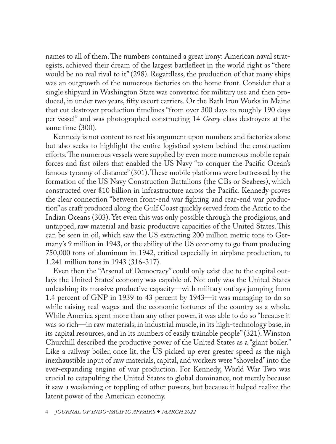names to all of them. The numbers contained a great irony: American naval strategists, achieved their dream of the largest battlefleet in the world right as "there would be no real rival to it" (298). Regardless, the production of that many ships was an outgrowth of the numerous factories on the home front. Consider that a single shipyard in Washington State was converted for military use and then produced, in under two years, fifty escort carriers. Or the Bath Iron Works in Maine that cut destroyer production timelines "from over 300 days to roughly 190 days per vessel" and was photographed constructing 14 *Geary*-class destroyers at the same time (300).

Kennedy is not content to rest his argument upon numbers and factories alone but also seeks to highlight the entire logistical system behind the construction efforts. The numerous vessels were supplied by even more numerous mobile repair forces and fast oilers that enabled the US Navy "to conquer the Pacific Ocean's famous tyranny of distance" (301). These mobile platforms were buttressed by the formation of the US Navy Construction Battalions (the CBs or Seabees), which constructed over \$10 billion in infrastructure across the Pacific. Kennedy proves the clear connection "between front-end war fighting and rear-end war production" as craft produced along the Gulf Coast quickly served from the Arctic to the Indian Oceans (303). Yet even this was only possible through the prodigious, and untapped, raw material and basic productive capacities of the United States. This can be seen in oil, which saw the US extracting 200 million metric tons to Germany's 9 million in 1943, or the ability of the US economy to go from producing 750,000 tons of aluminum in 1942, critical especially in airplane production, to 1.241 million tons in 1943 (316-317).

Even then the "Arsenal of Democracy" could only exist due to the capital outlays the United States' economy was capable of. Not only was the United States unleashing its massive productive capacity—with military outlays jumping from 1.4 percent of GNP in 1939 to 43 percent by 1943—it was managing to do so while raising real wages and the economic fortunes of the country as a whole. While America spent more than any other power, it was able to do so "because it was so rich—in raw materials, in industrial muscle, in its high-technology base, in its capital resources, and in its numbers of easily trainable people" (321). Winston Churchill described the productive power of the United States as a "giant boiler." Like a railway boiler, once lit, the US picked up ever greater speed as the nigh inexhaustible input of raw materials, capital, and workers were "shoveled" into the ever-expanding engine of war production. For Kennedy, World War Two was crucial to catapulting the United States to global dominance, not merely because it saw a weakening or toppling of other powers, but because it helped realize the latent power of the American economy.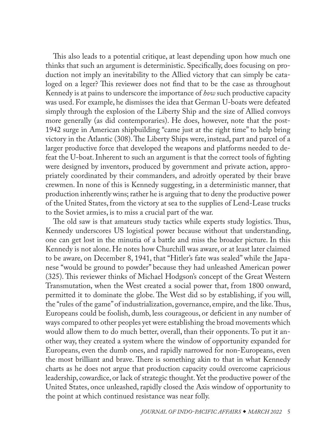This also leads to a potential critique, at least depending upon how much one thinks that such an argument is deterministic. Specifically, does focusing on production not imply an inevitability to the Allied victory that can simply be cataloged on a leger? This reviewer does not find that to be the case as throughout Kennedy is at pains to underscore the importance of *how* such productive capacity was used. For example, he dismisses the idea that German U-boats were defeated simply through the explosion of the Liberty Ship and the size of Allied convoys more generally (as did contemporaries). He does, however, note that the post-1942 surge in American shipbuilding "came just at the right time" to help bring victory in the Atlantic (308). The Liberty Ships were, instead, part and parcel of a larger productive force that developed the weapons and platforms needed to defeat the U-boat. Inherent to such an argument is that the correct tools of fighting were designed by inventors, produced by government and private action, appropriately coordinated by their commanders, and adroitly operated by their brave crewmen. In none of this is Kennedy suggesting, in a deterministic manner, that production inherently wins; rather he is arguing that to deny the productive power of the United States, from the victory at sea to the supplies of Lend-Lease trucks to the Soviet armies, is to miss a crucial part of the war.

The old saw is that amateurs study tactics while experts study logistics. Thus, Kennedy underscores US logistical power because without that understanding, one can get lost in the minutia of a battle and miss the broader picture. In this Kennedy is not alone. He notes how Churchill was aware, or at least later claimed to be aware, on December 8, 1941, that "Hitler's fate was sealed" while the Japanese "would be ground to powder" because they had unleashed American power (325). This reviewer thinks of Michael Hodgson's concept of the Great Western Transmutation, when the West created a social power that, from 1800 onward, permitted it to dominate the globe. The West did so by establishing, if you will, the "rules of the game" of industrialization, governance, empire, and the like. Thus, Europeans could be foolish, dumb, less courageous, or deficient in any number of ways compared to other peoples yet were establishing the broad movements which would allow them to do much better, overall, than their opponents. To put it another way, they created a system where the window of opportunity expanded for Europeans, even the dumb ones, and rapidly narrowed for non-Europeans, even the most brilliant and brave. There is something akin to that in what Kennedy charts as he does not argue that production capacity could overcome capricious leadership, cowardice, or lack of strategic thought. Yet the productive power of the United States, once unleashed, rapidly closed the Axis window of opportunity to the point at which continued resistance was near folly.